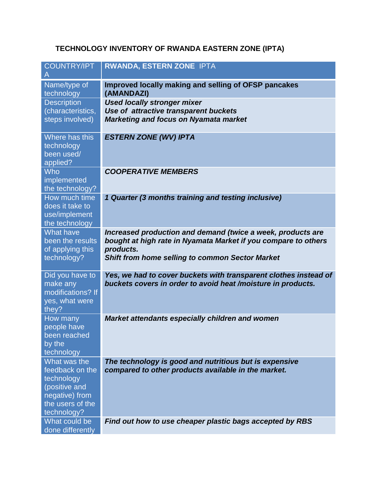## **TECHNOLOGY INVENTORY OF RWANDA EASTERN ZONE (IPTA)**

| <b>COUNTRY/IPT</b><br>A                                                                                             | RWANDA, ESTERN ZONE IPTA                                                                                                                                                                      |
|---------------------------------------------------------------------------------------------------------------------|-----------------------------------------------------------------------------------------------------------------------------------------------------------------------------------------------|
| Name/type of<br>technology                                                                                          | <b>Improved locally making and selling of OFSP pancakes</b><br>(AMANDAZI)                                                                                                                     |
| <b>Description</b><br>(characteristics,<br>steps involved)                                                          | <b>Used locally stronger mixer</b><br>Use of attractive transparent buckets<br><b>Marketing and focus on Nyamata market</b>                                                                   |
| Where has this<br>technology<br>been used/<br>applied?                                                              | <b>ESTERN ZONE (WV) IPTA</b>                                                                                                                                                                  |
| Who<br>implemented<br>the technology?                                                                               | <b>COOPERATIVE MEMBERS</b>                                                                                                                                                                    |
| How much time<br>does it take to<br>use/implement<br>the technology                                                 | 1 Quarter (3 months training and testing inclusive)                                                                                                                                           |
| <b>What have</b><br>been the results<br>of applying this<br>technology?                                             | Increased production and demand (twice a week, products are<br>bought at high rate in Nyamata Market if you compare to others<br>products.<br>Shift from home selling to common Sector Market |
| Did you have to<br>make any<br>modifications? If<br>yes, what were<br>they?                                         | Yes, we had to cover buckets with transparent clothes instead of<br>buckets covers in order to avoid heat /moisture in products.                                                              |
| How many<br>people have<br>been reached<br>by the<br>technology                                                     | <b>Market attendants especially children and women</b>                                                                                                                                        |
| What was the<br>feedback on the<br>technology<br>(positive and<br>negative) from<br>the users of the<br>technology? | The technology is good and nutritious but is expensive<br>compared to other products available in the market.                                                                                 |
| What could be<br>done differently                                                                                   | Find out how to use cheaper plastic bags accepted by RBS                                                                                                                                      |